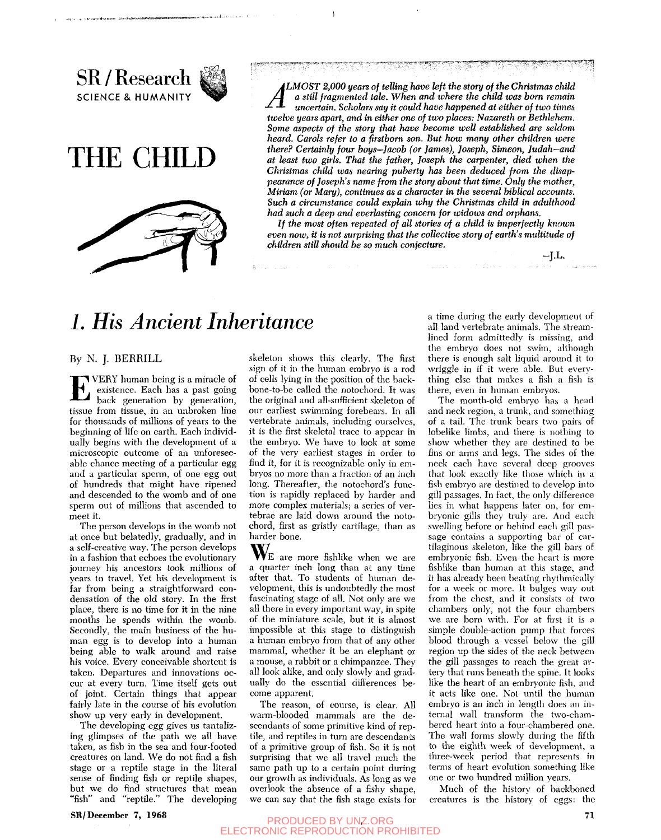SR/Research SCIENCE & HUMANITY



# THE CHILD



*ALMOST 2,000 years of telling have left the story of the Christmas child /j a still fragmented tale. When and where the child was born remain •^* -\*• *uncertain. Scholars say it could have happened at either of two times twelve years apart, and in either one of two places: Nazareth or Bethlehem. Some aspects of the story that have become well established are seldom heard. Carols refer to a firstborn son. But how many other children were there? Certainly four boys—Jacob (or James), Joseph, Simeon, Judah—and at least two girls. That the father, Joseph the carpenter, died when the Christmas child was nearing puberty has been deduced from the disappearance of Joseph's name from the story about that time. Only the mother, Miriam (or Mary), continues as a character in the several biblical accounts. Such a circumstance cculd explain why the Christmas child in adulthood had such a deep and everlasting concern for widows and orphans.* 

*If the most often repeated of all stories of a child is imperfectly known even now, it is not surprising that the collective story of earth's multitude of children stiU should be so much conjecture.* 

**-J.L.** 

# i. *His Ancient Inheritance*

### By N. J. BERRILL

VERY human being is a miracle of<br>existence. Each has a past going<br>back generation by generation, existence. Each has a past going back generation by generation, tissue from tissue, in an unbroken line for thousands of millions of years to the beginning of life on earth. Each individually begins with the development of a microscopic outcome of an unforeseeable chance meeting of a particular egg and a particular sperm, of one egg out of hundreds that might have ripened and descended to the womb and of one sperm out of millions that ascended to meet it.

The person develops in the womb not at once but belatedly, gradually, and in a self-creative way. The person develops in a fashion that echoes the evolutionary journey his ancestors took millions of years to travel. Yet his development is far from being a straightforward condensation of the old story. In the first place, there is no time for it in the nine months he spends within the womb. Secondly, the main business of the human egg is to develop into a human being able to walk around and raise his voice. Every conceivable shortcut is taken. Departures and innovations occur at every turn. Time itself gets out of joint. Certain things that appear fairly late in the course of his evolution show up very early in development.

The developing egg gives us tantalizing glimpses of the path we all have taken, as fish in the sea and four-footed creatures on land. We do not find a fish stage or a reptile stage in the literal sense of finding fish or reptile shapes, but we do find structures that mean "fish" and "reptile." The developing

skeleton shows this clearly. The first sign of it in the human embryo is a rod of cells lying in the position of the backbone-to-be called the notochord. It was the original and all-sufficient skeleton of our earliest swimming forebears. In all vertebrate animals, including ourselves, it is the first skeletal trace to appear in the embryo. We have to look at some of the very earliest stages in order to find it, for it is recognizable only in embryos no more than a fraction of an inch long. Thereafter, the notochord's function is rapidly replaced by harder and more complex materials; a series of vertebrae are laid down around the notochord, first as gristly cartilage, than as harder bone.

 $\mathbf{W}_{\mathrm{E}}$  are more fishlike when we are a quarter inch long than at any time after that. To students of human development, this is undoubtedly the most fascinating stage of all. Not only are we all there in every important way, in spite of the miniature scale, but it is almost impossible at this stage to distinguish a human embryo from that of any other mammal, whether it be an elephant or a mouse, a rabbit or a chimpanzee. They all look alike, and only slowly and gradually do the essential differences become apparent.

The reason, of course, is clear. All warm-blooded mammals are the descendants of some primitive kind of reptile, and reptiles in turn are descendants of a primitive group of fish. So it is not surprising that we all travel much the same path up to a certain point during our growth as individuals. As long as we overlook the absence of a fishy shape, we can say that the fish stage exists for a time during the early development of all land vertebrate animals. The streamlined form admittedly is missing, and the embryo does not swim, although there is enough salt liquid around it to wriggle in if it were able. But everything else that makes a fish a fish is there, even in human embryos.

The month-old embryo has a head and neck region, a trunk, and something of a tail. The trunk bears two pairs of lobelike limbs, and there is nothing to show whether they are destined to be fins or arms and legs. The sides of the neck each have several deep grooves that look exactly like those which in a fish embryo are destined to develop into gill passages. In fact, the only difference lies in what happens later on, for embryonic gills they truly are. And each swelling before or behind each gill passage contains a supporting bar of cartilaginous skeleton, like the gill bars of embryonic fish. Even the heart is more fishlike than human at this stage, and it has already been beating rhythmically for a week or more. It bulges way out from the chest, and it consists of two chambers only, not the four chambers we are born with. For at first it is a simple double-action pump that forces blood through a vessel below the gill region up the sides of the neck between the gill passages to reach the great artery that runs beneath the spine. It looks like the heart of an embryonic fish, and it acts like one. Not until the human embryo is an inch in length does an internal wall transform the two-chambered heart into a four-chambered one. The wall forms slowly during the fifth to the eighth week of development, a three-week period that represents in terms of heart evolution something like one or two hundred million years.

Much of the history of backboned creatures is the history of eggs: the

### <sup>71</sup>PRODUCED BY UNZ.ORG ELECTRONIC REPRODUCTION PROHIBITED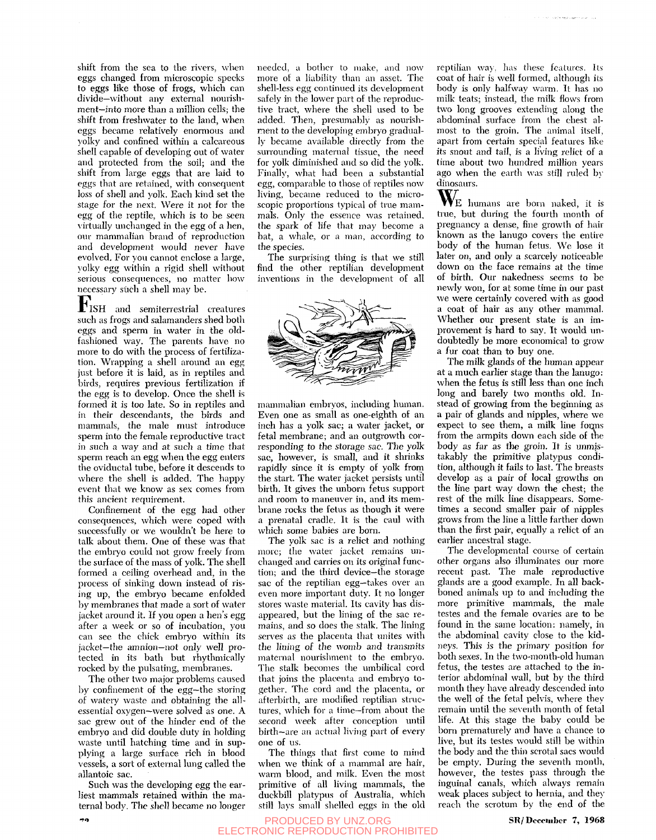shift from the sea to the rivers, when eggs changed from microscopic specks to eggs hke those of frogs, which can divide—without any external nourishment—into more than a million cells; the shift from freshwater to the land, when eggs became relatively enormous and yolky and confined within a calcareous shell capable of developing out of water and protected from the soil; and the shift from large eggs that are laid to eggs that are retained, with consequent loss of shell and yolk. Each kind set the stage for the next. Were it not for the egg of the reptile, which is to be seen virtually unchanged in the egg of a hen, our mammalian brand of reproduction and development would never have evolved. For you cannot enclose a large, yolky egg within a rigid shell without serious consequences, no matter how necessary siich a shell may be.

 $\mathbf{F}_{\text{ISH}}$  and semiterrestrial creatures such as frogs and salamanders shed both eggs and sperm in water in the oldfashioned way. The parents have no more to do with the process of fertilization. Wrapping a shell around an egg just before it is laid, as in reptiles and birds, requires previous fertilization if the egg is to develop. Once the shell is formed it is too late. So in reptiles and in their descendants, the birds and mammals, the male must introduce sperm into the female reproductive tract in such a way and at such a time that sperm reach an egg when the egg enters the oviductal tube, before it descends to where the shell is added. The happy event that we know as sex comes from this ancient requirement.

Confinement of the egg had other consequences, which were coped with successfully or we wouldn't be here to talk about them. One of these was that the embryo could not grow freely from the surface of the mass of yolk. The shell formed a ceiling overhead and, in the process of sinking down instead of rising up, the embryo became enfolded by membranes that made a sort of water jacket around it. If you open a hen's egg after a week or so of incubation, you can see the chick embryo within its jacket—the amnion—not only well protected in its bath but rhythmically rocked by the pulsating, membranes.

The other two major problems caused liy confinement of the egg—the storing of watery waste and obtaining the allessential oxygen—were solved as one. A sac grew out of the hinder end of the embryo and did double duty in holding waste until hatching time and in supplying a large surface rich in blood vessels, a sort of external lung called the allantoic sac.

Such was the developing egg the earliest mammals retained within the maternal body. The shell became no longer needed, a bother to make, and now more of a liability than an asset. The shell-less egg continued its development safely in the lower part of the reproductive tract, where the shell used to be added. Then, presumably as nourishment to the developing embryo gradually became available directly from the surrounding maternal tissue, the need for yolk diminished and so did the yolk. Finally, what had been a substantial egg, comparable to those of reptiles now living, became reduced to the microscopic proportions typical of true mammals. Only the essence was retained, the spark of life that may become a bat, a whale, or a man, according to the species.

The surprising thing is that we still find the other reptilian development inventions in the development of all



mammalian embryos, including human. Even one as small as one-eighth of an inch has a yolk sac; a water jacket, or fetal membrane; and an outgrowth corresponding to the storage sac. The yolk sac, however, is small, and it shrinks rapidly since it is empty of yolk from the start. The water jacket persists until birth. It gives the unborn fetus support and room to maneuver in, and its membrane rocks the fetus as though it were a prenatal cradle. It is the caul with which some babies are born.

The yolk sac is a relict and nothing more; the water jacket remains unchanged and carries on its original function; and the third device—the storage sac of the reptilian egg—takes over an even more important duty. It no longer stores waste material. Its cavity has disappeared, but the lining of the sac remains, and so does the stalk. The lining serves as the placenta that unites with the lining of the womb and transmits maternal nourishment to the embryo. The stalk becomes the umbilical cord that joins the placenta and embryo together. The cord and the placenta, or afterbirth, are modified reptilian structures, which for a time-from about the second week after conception until birth–are an actual living part of every one of us.

The things that first come to mind when we think of a mammal are hair, warm blood, and milk. Even the most primitive of all living mammals, the duckbill platypus of Australia, which still lays small shelled eggs in the old reptilian way, has these features. Its coat of hair is well formed, although its body is only halfway warm. It has no milk teats; instead, the milk flows from two long grooves extending along the abdominal surface from the chest almost to the groin. The animal itself, apart from certain special features like its snout and tail, is a living relict of a time about two hundred million years ago when the earth was still ruled by dinosaurs.

 $\mathbf{W} \mathbf{E}$  humans are born naked, it is true, but during the fourth month of pregnancy a dense, fine growth of hair known as the lanugo covers the entire body of the human fetus. We lose it later on, and only a scarcely noticeable down on the face remains at the time of birth. Our nakedness seems to be newly won, for at some time in our past we were certainly covered with as good a coat of hair as any other mammal. Whether our present state is an improvement is hard to say. It would undoubtedly be more economical to grow a fur coat than to buy one.

The milk glands of the human appear at a much earlier stage than the lanugo: when the fetus is still less than one inch long and barely two months old. Instead of growing from the beginning as a pair of glands and nipples, where we expect to see them, a milk line forms from the armpits down each side of the body as far as the groin. It is unmistakably the primitive platypus condition, although it fails to last. The breasts develop as a pair of local growths on the line part way down the chest; the rest of the milk line disappears. Sometimes a second smaller pair of nipples grows from the line a little farther down than the first pair, equally a relict of an earlier ancestral stage.

The developmental course of certain other organs also illuminates our more recent past. The male reproductive glands are a good example. In all backboned animals up to and including the more primitive mammals, the male testes and the female ovaries are to be found in the same location: namely, in the abdominal cavity close to the kidneys. This is the primary position for both sexes. In the two-month-old human fetus, the testes are attached to the interior abdominal wall, but by the third month they have already descended into the well of the fetal pelvis, where they remain until the seventh month of fetal life. At this stage the baby could be born prematurely and have a chance to live, but its testes would still be within the body and the thin scrotal sacs would be empty. During the seventh month, however, the testes pass through the inguinal canals, which always remain weak places subject to hernia, and they reach the scrotum by the end of the